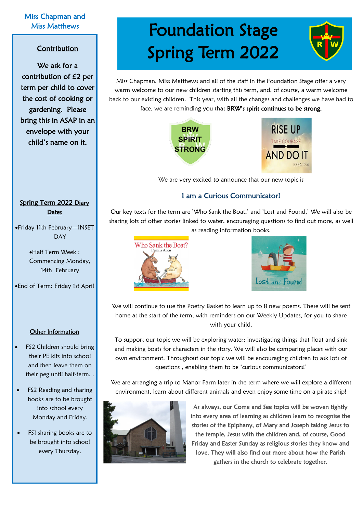#### Miss Chapman and Miss Matthews

#### Contribution

We ask for a contribution of £2 per term per child to cover the cost of cooking or gardening. Please bring this in ASAP in an envelope with your child's name on it.

Spring Term 2022 Diary **Dates** 

•Friday 11th February—INSET DAY

> •Half Term Week : Commencing Monday, 14th February

•End of Term: Friday 1st April

#### Other Information

- FS2 Children should bring their PE kits into school and then leave them on their peg until half-term. .
- FS2 Reading and sharing books are to be brought into school every Monday and Friday.
- FS1 sharing books are to be brought into school every Thursday.

# Foundation Stage Spring Term 2022

Miss Chapman, Miss Matthews and all of the staff in the Foundation Stage offer a very warm welcome to our new children starting this term, and, of course, a warm welcome back to our existing children. This year, with all the changes and challenges we have had to face, we are reminding you that BRW's spirit continues to be strong.





We are very excited to announce that our new topic is

#### I am a Curious Communicator!

Our key texts for the term are 'Who Sank the Boat,' and 'Lost and Found,' We will also be sharing lots of other stories linked to water, encouraging questions to find out more, as well as reading information books.





We will continue to use the Poetry Basket to learn up to 8 new poems. These will be sent home at the start of the term, with reminders on our Weekly Updates, for you to share with your child.

To support our topic we will be exploring water; investigating things that float and sink and making boats for characters in the story. We will also be comparing places with our own environment. Throughout our topic we will be encouraging children to ask lots of questions , enabling them to be 'curious communicators!'

We are arranging a trip to Manor Farm later in the term where we will explore a different environment, learn about different animals and even enjoy some time on a pirate ship!



As always, our Come and See topics will be woven tightly into every area of learning as children learn to recognise the stories of the Epiphany, of Mary and Joseph taking Jesus to the temple, Jesus with the children and, of course, Good Friday and Easter Sunday as religious stories they know and love. They will also find out more about how the Parish gathers in the church to celebrate together.